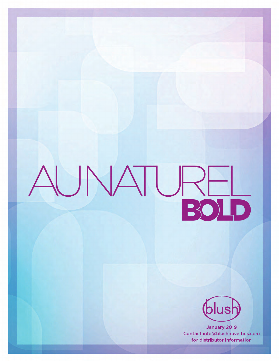



January 2019 Contact info@blushnovelties.com for distributor information